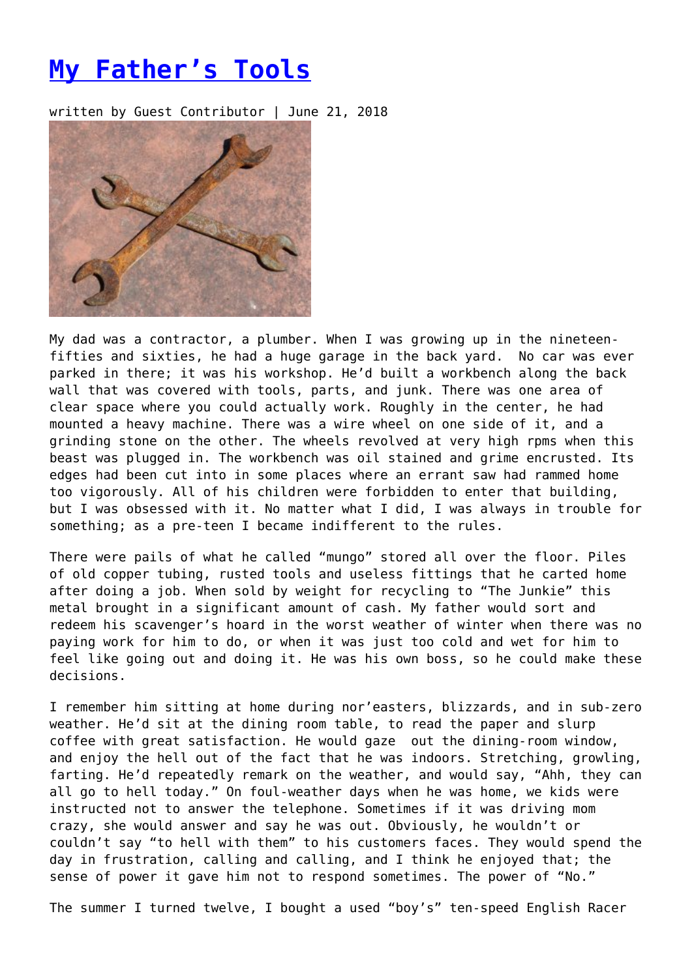## **[My Father's Tools](https://entropymag.org/my-fathers-tools/)**

written by Guest Contributor | June 21, 2018



My dad was a contractor, a plumber. When I was growing up in the nineteenfifties and sixties, he had a huge garage in the back yard. No car was ever parked in there; it was his workshop. He'd built a workbench along the back wall that was covered with tools, parts, and junk. There was one area of clear space where you could actually work. Roughly in the center, he had mounted a heavy machine. There was a wire wheel on one side of it, and a grinding stone on the other. The wheels revolved at very high rpms when this beast was plugged in. The workbench was oil stained and grime encrusted. Its edges had been cut into in some places where an errant saw had rammed home too vigorously. All of his children were forbidden to enter that building, but I was obsessed with it. No matter what I did, I was always in trouble for something; as a pre-teen I became indifferent to the rules.

There were pails of what he called "mungo" stored all over the floor. Piles of old copper tubing, rusted tools and useless fittings that he carted home after doing a job. When sold by weight for recycling to "The Junkie" this metal brought in a significant amount of cash. My father would sort and redeem his scavenger's hoard in the worst weather of winter when there was no paying work for him to do, or when it was just too cold and wet for him to feel like going out and doing it. He was his own boss, so he could make these decisions.

I remember him sitting at home during nor'easters, blizzards, and in sub-zero weather. He'd sit at the dining room table, to read the paper and slurp coffee with great satisfaction. He would gaze out the dining-room window, and enjoy the hell out of the fact that he was indoors. Stretching, growling, farting. He'd repeatedly remark on the weather, and would say, "Ahh, they can all go to hell today." On foul-weather days when he was home, we kids were instructed not to answer the telephone. Sometimes if it was driving mom crazy, she would answer and say he was out. Obviously, he wouldn't or couldn't say "to hell with them" to his customers faces. They would spend the day in frustration, calling and calling, and I think he enjoyed that; the sense of power it gave him not to respond sometimes. The power of "No."

The summer I turned twelve, I bought a used "boy's" ten-speed English Racer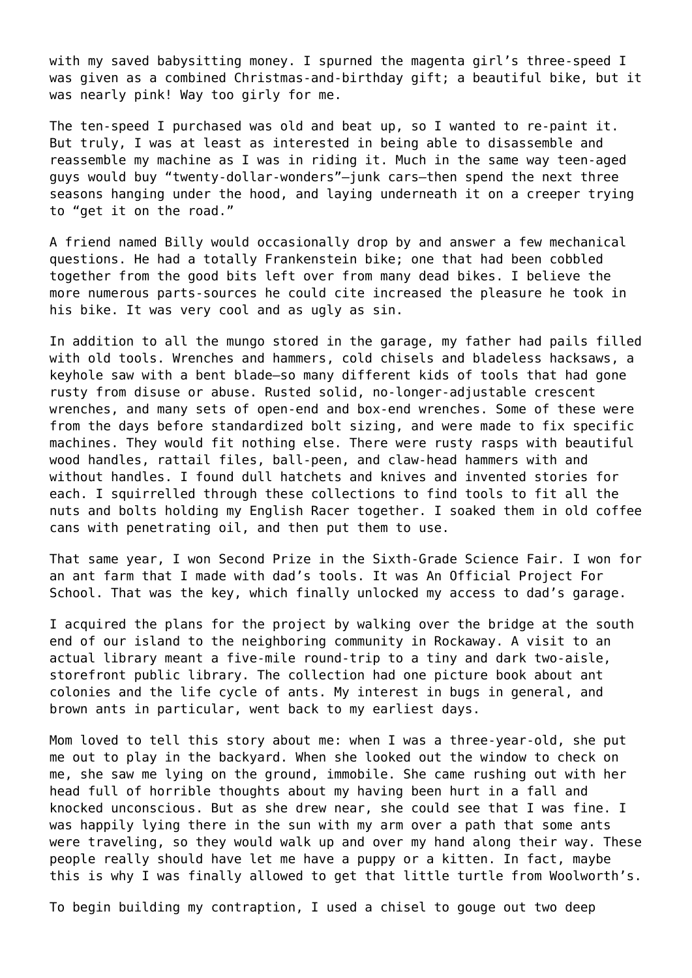with my saved babysitting money. I spurned the magenta girl's three-speed I was given as a combined Christmas-and-birthday gift; a beautiful bike, but it was nearly pink! Way too girly for me.

The ten-speed I purchased was old and beat up, so I wanted to re-paint it. But truly, I was at least as interested in being able to disassemble and reassemble my machine as I was in riding it. Much in the same way teen-aged guys would buy "twenty-dollar-wonders"—junk cars—then spend the next three seasons hanging under the hood, and laying underneath it on a creeper trying to "get it on the road."

A friend named Billy would occasionally drop by and answer a few mechanical questions. He had a totally Frankenstein bike; one that had been cobbled together from the good bits left over from many dead bikes. I believe the more numerous parts-sources he could cite increased the pleasure he took in his bike. It was very cool and as ugly as sin.

In addition to all the mungo stored in the garage, my father had pails filled with old tools. Wrenches and hammers, cold chisels and bladeless hacksaws, a keyhole saw with a bent blade—so many different kids of tools that had gone rusty from disuse or abuse. Rusted solid, no-longer-adjustable crescent wrenches, and many sets of open-end and box-end wrenches. Some of these were from the days before standardized bolt sizing, and were made to fix specific machines. They would fit nothing else. There were rusty rasps with beautiful wood handles, rattail files, ball-peen, and claw-head hammers with and without handles. I found dull hatchets and knives and invented stories for each. I squirrelled through these collections to find tools to fit all the nuts and bolts holding my English Racer together. I soaked them in old coffee cans with penetrating oil, and then put them to use.

That same year, I won Second Prize in the Sixth-Grade Science Fair. I won for an ant farm that I made with dad's tools. It was An Official Project For School. That was the key, which finally unlocked my access to dad's garage.

I acquired the plans for the project by walking over the bridge at the south end of our island to the neighboring community in Rockaway. A visit to an actual library meant a five-mile round-trip to a tiny and dark two-aisle, storefront public library. The collection had one picture book about ant colonies and the life cycle of ants. My interest in bugs in general, and brown ants in particular, went back to my earliest days.

Mom loved to tell this story about me: when I was a three-year-old, she put me out to play in the backyard. When she looked out the window to check on me, she saw me lying on the ground, immobile. She came rushing out with her head full of horrible thoughts about my having been hurt in a fall and knocked unconscious. But as she drew near, she could see that I was fine. I was happily lying there in the sun with my arm over a path that some ants were traveling, so they would walk up and over my hand along their way. These people really should have let me have a puppy or a kitten. In fact, maybe this is why I was finally allowed to get that little turtle from Woolworth's.

To begin building my contraption, I used a chisel to gouge out two deep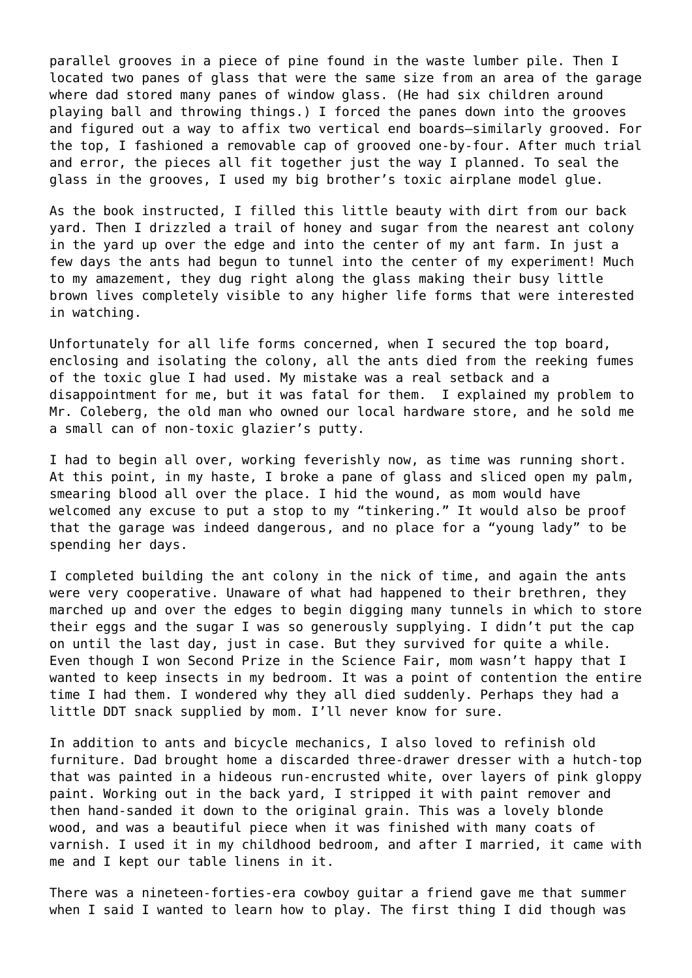parallel grooves in a piece of pine found in the waste lumber pile. Then I located two panes of glass that were the same size from an area of the garage where dad stored many panes of window glass. (He had six children around playing ball and throwing things.) I forced the panes down into the grooves and figured out a way to affix two vertical end boards—similarly grooved. For the top, I fashioned a removable cap of grooved one-by-four. After much trial and error, the pieces all fit together just the way I planned. To seal the glass in the grooves, I used my big brother's toxic airplane model glue.

As the book instructed, I filled this little beauty with dirt from our back yard. Then I drizzled a trail of honey and sugar from the nearest ant colony in the yard up over the edge and into the center of my ant farm. In just a few days the ants had begun to tunnel into the center of my experiment! Much to my amazement, they dug right along the glass making their busy little brown lives completely visible to any higher life forms that were interested in watching.

Unfortunately for all life forms concerned, when I secured the top board, enclosing and isolating the colony, all the ants died from the reeking fumes of the toxic glue I had used. My mistake was a real setback and a disappointment for me, but it was fatal for them. I explained my problem to Mr. Coleberg, the old man who owned our local hardware store, and he sold me a small can of non-toxic glazier's putty.

I had to begin all over, working feverishly now, as time was running short. At this point, in my haste, I broke a pane of glass and sliced open my palm, smearing blood all over the place. I hid the wound, as mom would have welcomed any excuse to put a stop to my "tinkering." It would also be proof that the garage was indeed dangerous, and no place for a "young lady" to be spending her days.

I completed building the ant colony in the nick of time, and again the ants were very cooperative. Unaware of what had happened to their brethren, they marched up and over the edges to begin digging many tunnels in which to store their eggs and the sugar I was so generously supplying. I didn't put the cap on until the last day, just in case. But they survived for quite a while. Even though I won Second Prize in the Science Fair, mom wasn't happy that I wanted to keep insects in my bedroom. It was a point of contention the entire time I had them. I wondered why they all died suddenly. Perhaps they had a little DDT snack supplied by mom. I'll never know for sure.

In addition to ants and bicycle mechanics, I also loved to refinish old furniture. Dad brought home a discarded three-drawer dresser with a hutch-top that was painted in a hideous run-encrusted white, over layers of pink gloppy paint. Working out in the back yard, I stripped it with paint remover and then hand-sanded it down to the original grain. This was a lovely blonde wood, and was a beautiful piece when it was finished with many coats of varnish. I used it in my childhood bedroom, and after I married, it came with me and I kept our table linens in it.

There was a nineteen-forties-era cowboy guitar a friend gave me that summer when I said I wanted to learn how to play. The first thing I did though was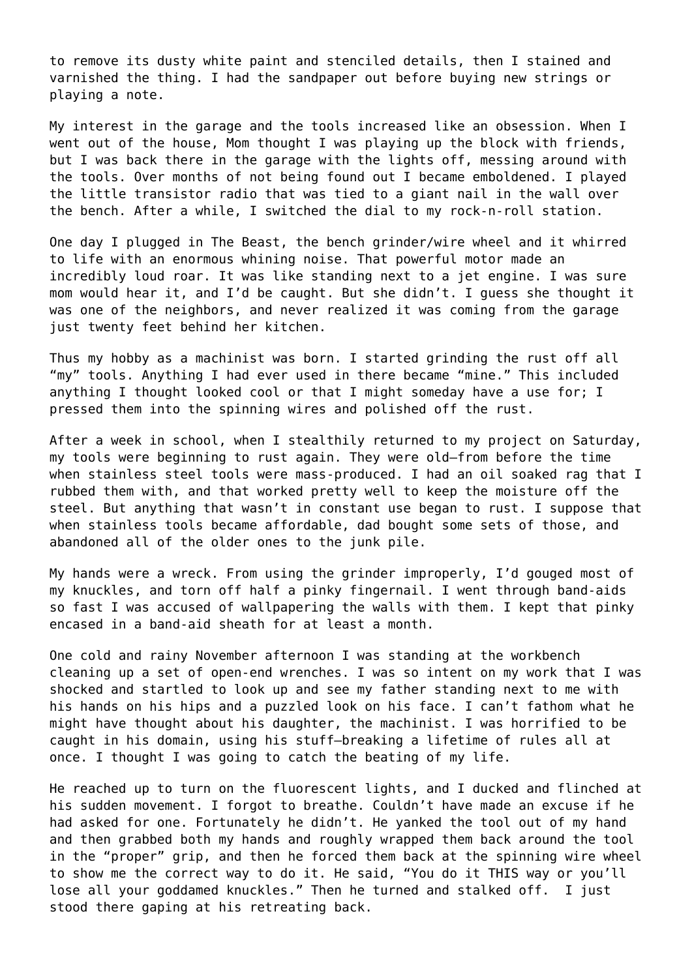to remove its dusty white paint and stenciled details, then I stained and varnished the thing. I had the sandpaper out before buying new strings or playing a note.

My interest in the garage and the tools increased like an obsession. When I went out of the house, Mom thought I was playing up the block with friends, but I was back there in the garage with the lights off, messing around with the tools. Over months of not being found out I became emboldened. I played the little transistor radio that was tied to a giant nail in the wall over the bench. After a while, I switched the dial to my rock-n-roll station.

One day I plugged in The Beast, the bench grinder/wire wheel and it whirred to life with an enormous whining noise. That powerful motor made an incredibly loud roar. It was like standing next to a jet engine. I was sure mom would hear it, and I'd be caught. But she didn't. I guess she thought it was one of the neighbors, and never realized it was coming from the garage just twenty feet behind her kitchen.

Thus my hobby as a machinist was born. I started grinding the rust off all "my" tools. Anything I had ever used in there became "mine." This included anything I thought looked cool or that I might someday have a use for; I pressed them into the spinning wires and polished off the rust.

After a week in school, when I stealthily returned to my project on Saturday, my tools were beginning to rust again. They were old–from before the time when stainless steel tools were mass-produced. I had an oil soaked rag that I rubbed them with, and that worked pretty well to keep the moisture off the steel. But anything that wasn't in constant use began to rust. I suppose that when stainless tools became affordable, dad bought some sets of those, and abandoned all of the older ones to the junk pile.

My hands were a wreck. From using the grinder improperly, I'd gouged most of my knuckles, and torn off half a pinky fingernail. I went through band-aids so fast I was accused of wallpapering the walls with them. I kept that pinky encased in a band-aid sheath for at least a month.

One cold and rainy November afternoon I was standing at the workbench cleaning up a set of open-end wrenches. I was so intent on my work that I was shocked and startled to look up and see my father standing next to me with his hands on his hips and a puzzled look on his face. I can't fathom what he might have thought about his daughter, the machinist. I was horrified to be caught in his domain, using his stuff—breaking a lifetime of rules all at once. I thought I was going to catch the beating of my life.

He reached up to turn on the fluorescent lights, and I ducked and flinched at his sudden movement. I forgot to breathe. Couldn't have made an excuse if he had asked for one. Fortunately he didn't. He yanked the tool out of my hand and then grabbed both my hands and roughly wrapped them back around the tool in the "proper" grip, and then he forced them back at the spinning wire wheel to show me the correct way to do it. He said, "You do it THIS way or you'll lose all your goddamed knuckles." Then he turned and stalked off. I just stood there gaping at his retreating back.